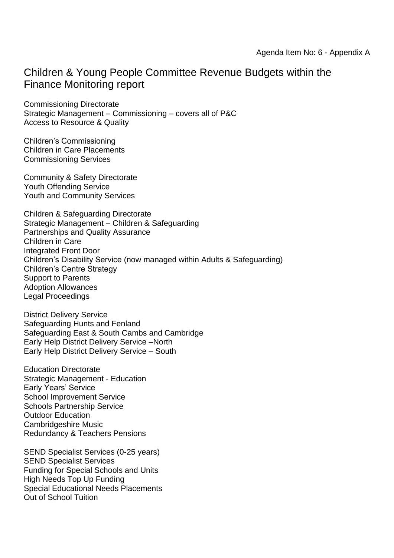## Children & Young People Committee Revenue Budgets within the Finance Monitoring report

Commissioning Directorate Strategic Management – Commissioning – covers all of P&C Access to Resource & Quality

Children's Commissioning Children in Care Placements Commissioning Services

Community & Safety Directorate Youth Offending Service Youth and Community Services

Children & Safeguarding Directorate Strategic Management – Children & Safeguarding Partnerships and Quality Assurance Children in Care Integrated Front Door Children's Disability Service (now managed within Adults & Safeguarding) Children's Centre Strategy Support to Parents Adoption Allowances Legal Proceedings

District Delivery Service Safeguarding Hunts and Fenland Safeguarding East & South Cambs and Cambridge Early Help District Delivery Service –North Early Help District Delivery Service – South

Education Directorate Strategic Management - Education Early Years' Service School Improvement Service Schools Partnership Service Outdoor Education Cambridgeshire Music Redundancy & Teachers Pensions

SEND Specialist Services (0-25 years) SEND Specialist Services Funding for Special Schools and Units High Needs Top Up Funding Special Educational Needs Placements Out of School Tuition